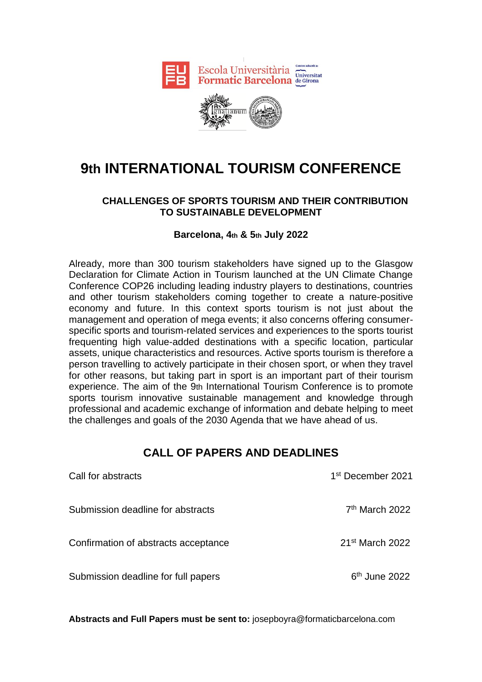



# **9th INTERNATIONAL TOURISM CONFERENCE**

### **CHALLENGES OF SPORTS TOURISM AND THEIR CONTRIBUTION TO SUSTAINABLE DEVELOPMENT**

#### **Barcelona, 4th & 5th July 2022**

Already, more than 300 tourism stakeholders have signed up to the Glasgow Declaration for Climate Action in Tourism launched at the UN Climate Change Conference COP26 including leading industry players to destinations, countries and other tourism stakeholders coming together to create a nature-positive economy and future. In this context sports tourism is not just about the management and operation of mega events; it also concerns offering consumerspecific sports and tourism-related services and experiences to the sports tourist frequenting high value-added destinations with a specific location, particular assets, unique characteristics and resources. Active sports tourism is therefore a person travelling to actively participate in their chosen sport, or when they travel for other reasons, but taking part in sport is an important part of their tourism experience. The aim of the 9th International Tourism Conference is to promote sports tourism innovative sustainable management and knowledge through professional and academic exchange of information and debate helping to meet the challenges and goals of the 2030 Agenda that we have ahead of us.

## **CALL OF PAPERS AND DEADLINES**

| Call for abstracts                   | 1 <sup>st</sup> December 2021 |
|--------------------------------------|-------------------------------|
| Submission deadline for abstracts    | 7 <sup>th</sup> March 2022    |
| Confirmation of abstracts acceptance | $21st$ March 2022             |
| Submission deadline for full papers  | $6th$ June 2022               |

**Abstracts and Full Papers must be sent to:** [josepboyra@formaticbarcelona.com](mailto:josepboyra@formaticbarcelona.com)